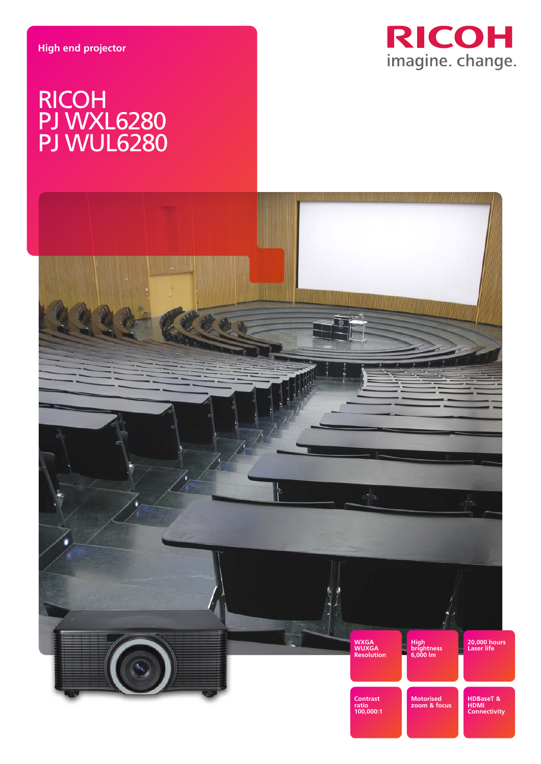

# RICOH PJ WXL6280 PJ WUL6280

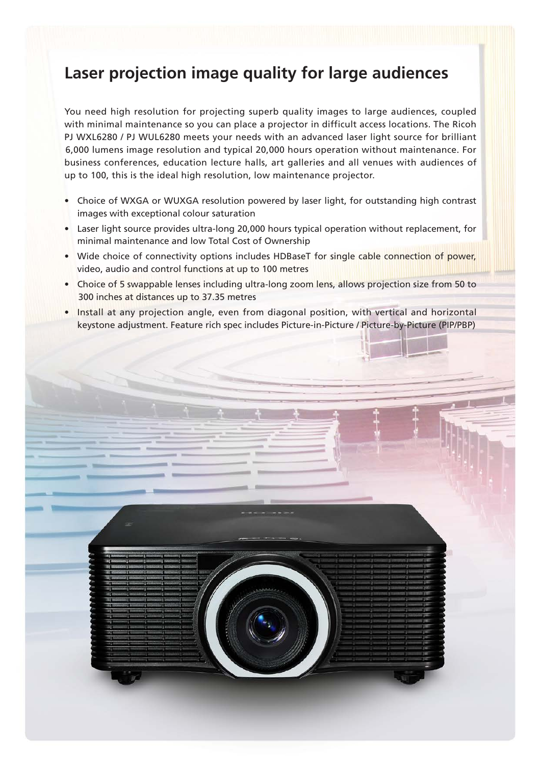## **Laser projection image quality for large audiences**

You need high resolution for projecting superb quality images to large audiences, coupled with minimal maintenance so you can place a projector in difficult access locations. The Ricoh PJ WXL6280 / PJ WUL6280 meets your needs with an advanced laser light source for brilliant 6,000 lumens image resolution and typical 20,000 hours operation without maintenance. For business conferences, education lecture halls, art galleries and all venues with audiences of up to 100, this is the ideal high resolution, low maintenance projector.

- Choice of WXGA or WUXGA resolution powered by laser light, for outstanding high contrast images with exceptional colour saturation
- Laser light source provides ultra-long 20,000 hours typical operation without replacement, for minimal maintenance and low Total Cost of Ownership
- Wide choice of connectivity options includes HDBaseT for single cable connection of power, video, audio and control functions at up to 100 metres
- Choice of 5 swappable lenses including ultra-long zoom lens, allows projection size from 50 to 300 inches at distances up to 37.35 metres
- Install at any projection angle, even from diagonal position, with vertical and horizontal keystone adjustment. Feature rich spec includes Picture-in-Picture / Picture-by-Picture (PIP/PBP)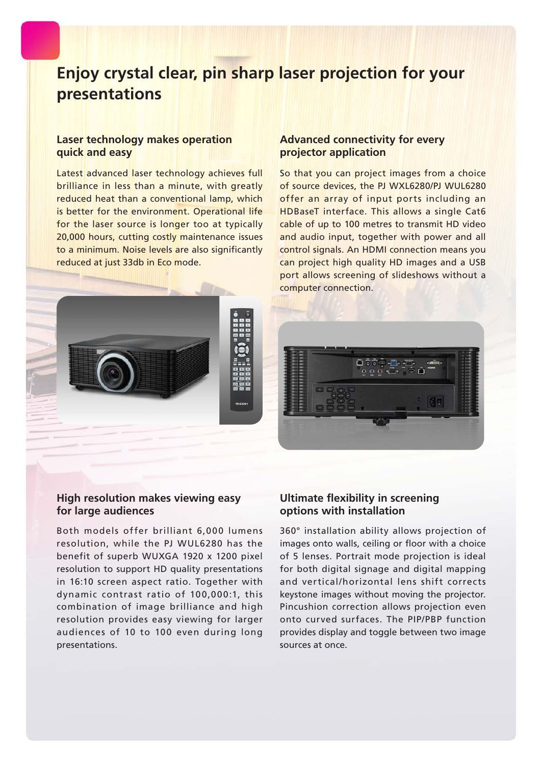## **Enjoy crystal clear, pin sharp laser projection for your presentations**

### **Laser technology makes operation quick and easy**

Latest advanced laser technology achieves full brilliance in less than a minute, with greatly reduced heat than a conventional lamp, which is better for the environment. Operational life for the laser source is longer too at typically 20,000 hours, cutting costly maintenance issues to a minimum. Noise levels are also significantly reduced at just 33db in Eco mode.

### **Advanced connectivity for every projector application**

So that you can project images from a choice of source devices, the PJ WXL6280/PJ WUL6280 offer an array of input ports including an HDBaseT interface. This allows a single Cat6 cable of up to 100 metres to transmit HD video and audio input, together with power and all control signals. An HDMI connection means you can project high quality HD images and a USB port allows screening of slideshows without a computer connection.





## **High resolution makes viewing easy for large audiences**

Both models offer brilliant 6,000 lumens resolution, while the PJ WUL6280 has the benefit of superb WUXGA 1920 x 1200 pixel resolution to support HD quality presentations in 16:10 screen aspect ratio. Together with dynamic contrast ratio of 100,000:1, this combination of image brilliance and high resolution provides easy viewing for larger audiences of 10 to 100 even during long presentations.

## **Ultimate flexibility in screening options with installation**

360° installation ability allows projection of images onto walls, ceiling or floor with a choice of 5 lenses. Portrait mode projection is ideal for both digital signage and digital mapping and vertical/horizontal lens shift corrects keystone images without moving the projector. Pincushion correction allows projection even onto curved surfaces. The PIP/PBP function provides display and toggle between two image sources at once.